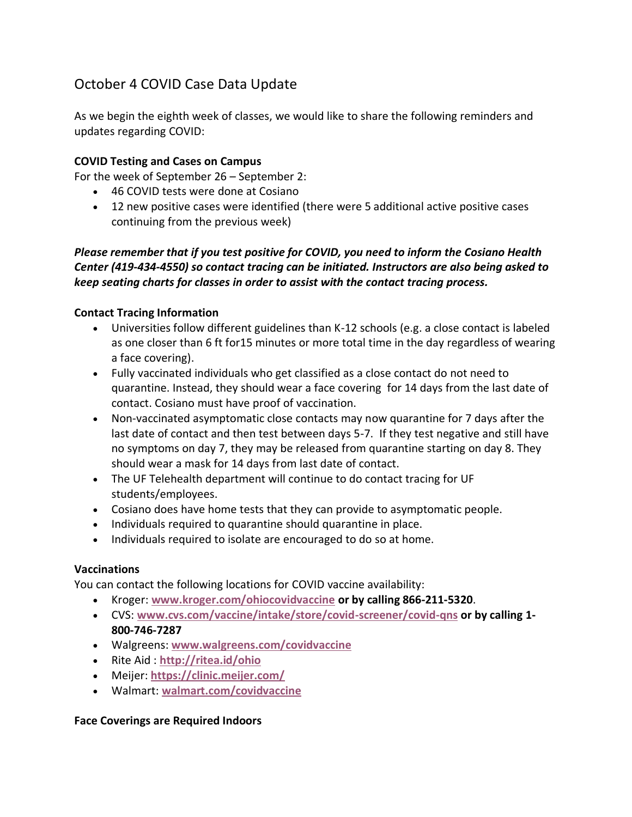# October 4 COVID Case Data Update

As we begin the eighth week of classes, we would like to share the following reminders and updates regarding COVID:

### **COVID Testing and Cases on Campus**

For the week of September 26 – September 2:

- 46 COVID tests were done at Cosiano
- 12 new positive cases were identified (there were 5 additional active positive cases continuing from the previous week)

## *Please remember that if you test positive for COVID, you need to inform the Cosiano Health Center (419-434-4550) so contact tracing can be initiated. Instructors are also being asked to keep seating charts for classes in order to assist with the contact tracing process.*

# **Contact Tracing Information**

- Universities follow different guidelines than K-12 schools (e.g. a close contact is labeled as one closer than 6 ft for15 minutes or more total time in the day regardless of wearing a face covering).
- Fully vaccinated individuals who get classified as a close contact do not need to quarantine. Instead, they should wear a face covering for 14 days from the last date of contact. Cosiano must have proof of vaccination.
- Non-vaccinated asymptomatic close contacts may now quarantine for 7 days after the last date of contact and then test between days 5-7. If they test negative and still have no symptoms on day 7, they may be released from quarantine starting on day 8. They should wear a mask for 14 days from last date of contact.
- The UF Telehealth department will continue to do contact tracing for UF students/employees.
- Cosiano does have home tests that they can provide to asymptomatic people.
- Individuals required to quarantine should quarantine in place.
- Individuals required to isolate are encouraged to do so at home.

# **Vaccinations**

You can contact the following locations for COVID vaccine availability:

- Kroger: **[www.kroger.com/ohiocovidvaccine](http://www.kroger.com/ohiocovidvaccine) or by calling 866-211-5320**.
- CVS: **[www.cvs.com/vaccine/intake/store/covid-screener/covid-qns](https://www.cvs.com/vaccine/intake/store/covid-screener/covid-qns) or by calling 1- 800-746-7287**
- Walgreens: **[www.walgreens.com/covidvaccine](https://www.walgreens.com/covidvaccine)**
- Rite Aid : **<http://ritea.id/ohio>**
- Meijer: **<https://clinic.meijer.com/>**
- Walmart: **[walmart.com/covidvaccine](http://walmart.com/covidvaccine)**

#### **Face Coverings are Required Indoors**